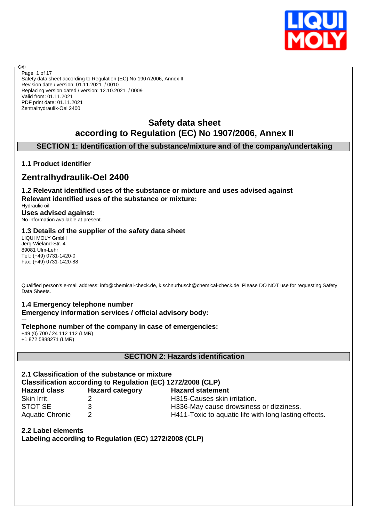

Safety data sheet according to Regulation (EC) No 1907/2006, Annex II Revision date / version: 01.11.2021 / 0010 Replacing version dated / version: 12.10.2021 / 0009 Valid from: 01.11.2021 PDF print date: 01.11.2021 Zentralhydraulik-Oel 2400 Page 1 of 17

# **Safety data sheet according to Regulation (EC) No 1907/2006, Annex II**

# **SECTION 1: Identification of the substance/mixture and of the company/undertaking**

# **1.1 Product identifier**

൹

# **Zentralhydraulik-Oel 2400**

**1.2 Relevant identified uses of the substance or mixture and uses advised against Relevant identified uses of the substance or mixture:**

Hydraulic oil **Uses advised against:** No information available at present.

## **1.3 Details of the supplier of the safety data sheet**

LIQUI MOLY GmbH Jerg-Wieland-Str. 4 89081 Ulm-Lehr Tel.: (+49) 0731-1420-0 Fax: (+49) 0731-1420-88

Qualified person's e-mail address: info@chemical-check.de, k.schnurbusch@chemical-check.de Please DO NOT use for requesting Safety Data Sheets.

## **1.4 Emergency telephone number Emergency information services / official advisory body:**

--- **Telephone number of the company in case of emergencies:**

+49 (0) 700 / 24 112 112 (LMR) +1 872 5888271 (LMR)

## **SECTION 2: Hazards identification**

# **2.1 Classification of the substance or mixture**

**Classification according to Regulation (EC) 1272/2008 (CLP)**

| <b>Hazard class</b> |  |
|---------------------|--|
| Skin Irrit.         |  |
| STOT SE             |  |
| Aquatic Chronic     |  |

**Hazard category Hazard statement** 2 **H315-Causes skin irritation.** 

3 **STORE 3** H336-May cause drowsiness or dizziness.

Aquatic Chronic 2 2 H411-Toxic to aquatic life with long lasting effects.

**2.2 Label elements Labeling according to Regulation (EC) 1272/2008 (CLP)**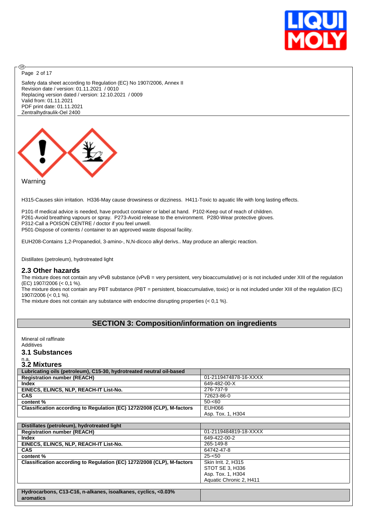

Page 2 of 17

**®** 

Safety data sheet according to Regulation (EC) No 1907/2006, Annex II Revision date / version: 01.11.2021 / 0010 Replacing version dated / version: 12.10.2021 / 0009 Valid from: 01.11.2021 PDF print date: 01.11.2021 Zentralhydraulik-Oel 2400



Warning

H315-Causes skin irritation. H336-May cause drowsiness or dizziness. H411-Toxic to aquatic life with long lasting effects.

P101-If medical advice is needed, have product container or label at hand. P102-Keep out of reach of children. P261-Avoid breathing vapours or spray. P273-Avoid release to the environment. P280-Wear protective gloves. P312-Call a POISON CENTRE / doctor if you feel unwell. P501-Dispose of contents / container to an approved waste disposal facility.

EUH208-Contains 1,2-Propanediol, 3-amino-, N,N-dicoco alkyl derivs.. May produce an allergic reaction.

Distillates (petroleum), hydrotreated light

#### **2.3 Other hazards**

The mixture does not contain any vPvB substance (vPvB = very persistent, very bioaccumulative) or is not included under XIII of the regulation (EC) 1907/2006 (< 0,1 %).

The mixture does not contain any PBT substance (PBT = persistent, bioaccumulative, toxic) or is not included under XIII of the regulation (EC) 1907/2006 (< 0,1 %).

The mixture does not contain any substance with endocrine disrupting properties (< 0,1 %).

# **SECTION 3: Composition/information on ingredients**

Mineral oil raffinate Additives

# **3.1 Substances**

# n.a. **3.2 Mixtures**

| Lubricating oils (petroleum), C15-30, hydrotreated neutral oil-based       |                         |
|----------------------------------------------------------------------------|-------------------------|
| <b>Registration number (REACH)</b>                                         | 01-2119474878-16-XXXX   |
| <b>Index</b>                                                               | 649-482-00-X            |
| EINECS, ELINCS, NLP, REACH-IT List-No.                                     | 276-737-9               |
| <b>CAS</b>                                                                 | 72623-86-0              |
| content %                                                                  | $50 - 60$               |
| Classification according to Regulation (EC) 1272/2008 (CLP), M-factors     | EUH066                  |
|                                                                            | Asp. Tox. 1, H304       |
|                                                                            |                         |
| Distillates (petroleum), hydrotreated light                                |                         |
| <b>Registration number (REACH)</b>                                         | 01-2119484819-18-XXXX   |
| Index                                                                      | 649-422-00-2            |
| EINECS, ELINCS, NLP, REACH-IT List-No.                                     | 265-149-8               |
| <b>CAS</b>                                                                 | 64742-47-8              |
| content %                                                                  | $25 - 50$               |
| Classification according to Regulation (EC) 1272/2008 (CLP), M-factors     | Skin Irrit. 2, H315     |
|                                                                            | STOT SE 3. H336         |
|                                                                            | Asp. Tox. 1, H304       |
|                                                                            | Aquatic Chronic 2, H411 |
|                                                                            |                         |
| Hydrocarbons, C13-C16, n-alkanes, isoalkanes, cyclics, <0.03%<br>aromatics |                         |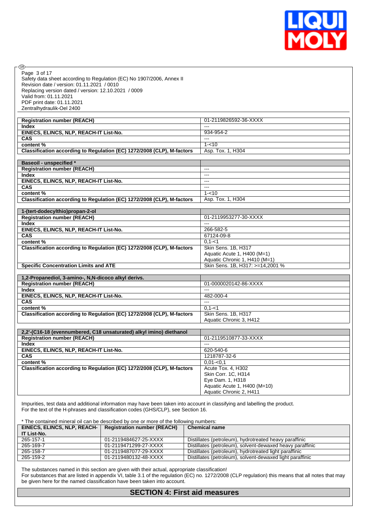

| . (ை                                                                   |                                  |
|------------------------------------------------------------------------|----------------------------------|
| Page 3 of 17                                                           |                                  |
| Safety data sheet according to Regulation (EC) No 1907/2006, Annex II  |                                  |
| Revision date / version: 01.11.2021 / 0010                             |                                  |
| Replacing version dated / version: 12.10.2021 / 0009                   |                                  |
| Valid from: 01.11.2021                                                 |                                  |
| PDF print date: 01.11.2021                                             |                                  |
| Zentralhydraulik-Oel 2400                                              |                                  |
|                                                                        |                                  |
| <b>Registration number (REACH)</b>                                     | 01-2119826592-36-XXXX            |
| <b>Index</b>                                                           | $---$                            |
| EINECS, ELINCS, NLP, REACH-IT List-No.                                 | 934-954-2                        |
| <b>CAS</b>                                                             | $---$                            |
| content%                                                               | $1 - 10$                         |
| Classification according to Regulation (EC) 1272/2008 (CLP), M-factors | Asp. Tox. 1, H304                |
| <b>Baseoil - unspecified *</b>                                         |                                  |
| <b>Registration number (REACH)</b>                                     | ---                              |
| <b>Index</b>                                                           | $---$                            |
| EINECS, ELINCS, NLP, REACH-IT List-No.                                 | $---$                            |
| <b>CAS</b>                                                             | $\overline{\phantom{a}}$         |
| content%                                                               | $1 - 10$                         |
| Classification according to Regulation (EC) 1272/2008 (CLP), M-factors | Asp. Tox. 1, H304                |
|                                                                        |                                  |
| 1-(tert-dodecylthio)propan-2-ol                                        |                                  |
| <b>Registration number (REACH)</b>                                     | 01-2119953277-30-XXXX            |
| <b>Index</b>                                                           | $- - -$                          |
| EINECS, ELINCS, NLP, REACH-IT List-No.                                 | 266-582-5                        |
| <b>CAS</b>                                                             | 67124-09-8                       |
| content%                                                               | $0, 1 - 1$                       |
| Classification according to Regulation (EC) 1272/2008 (CLP), M-factors | Skin Sens. 1B, H317              |
|                                                                        | Aquatic Acute 1, H400 (M=1)      |
|                                                                        | Aquatic Chronic 1, H410 (M=1)    |
| <b>Specific Concentration Limits and ATE</b>                           | Skin Sens. 1B, H317: >=14,2001 % |
|                                                                        |                                  |
| 1,2-Propanediol, 3-amino-, N,N-dicoco alkyl derivs.                    | 01-0000020142-86-XXXX            |
| <b>Registration number (REACH)</b><br><b>Index</b>                     | $---$                            |
| EINECS, ELINCS, NLP, REACH-IT List-No.                                 | 482-000-4                        |
| <b>CAS</b>                                                             | $\overline{\phantom{a}}$         |
| content %                                                              | $0, 1 - 1$                       |
| Classification according to Regulation (EC) 1272/2008 (CLP), M-factors | Skin Sens. 1B, H317              |
|                                                                        | Aquatic Chronic 3, H412          |
|                                                                        |                                  |
| 2,2'-(C16-18 (evennumbered, C18 unsaturated) alkyl imino) diethanol    |                                  |
| <b>Registration number (REACH)</b>                                     | 01-2119510877-33-XXXX            |
| Index                                                                  | $---$                            |
| EINECS, ELINCS, NLP, REACH-IT List-No.                                 | 620-540-6                        |
| <b>CAS</b>                                                             | 1218787-32-6                     |
| content%                                                               | $0.01 - 0.1$                     |
| Classification according to Regulation (EC) 1272/2008 (CLP), M-factors | Acute Tox. 4, H302               |
|                                                                        | Skin Corr. 1C, H314              |
|                                                                        | Eye Dam. 1, H318                 |
|                                                                        | Aquatic Acute 1, H400 (M=10)     |
|                                                                        | Aquatic Chronic 2, H411          |

Impurities, test data and additional information may have been taken into account in classifying and labelling the product. For the text of the H-phrases and classification codes (GHS/CLP), see Section 16.

\* The contained mineral oil can be described by one or more of the following numbers:

| EINECS, ELINCS, NLP, REACH- | <b>Registration number (REACH)</b> | <b>Chemical name</b>                                      |
|-----------------------------|------------------------------------|-----------------------------------------------------------|
| IT List-No.                 |                                    |                                                           |
| 265-157-1                   | 01-2119484627-25-XXXX              | Distillates (petroleum), hydrotreated heavy paraffinic    |
| 265-169-7                   | 01-2119471299-27-XXXX              | Distillates (petroleum), solvent-dewaxed heavy paraffinic |
| 265-158-7                   | 01-2119487077-29-XXXX              | Distillates (petroleum), hydrotreated light paraffinic    |
| 265-159-2                   | 01-2119480132-48-XXXX              | Distillates (petroleum), solvent-dewaxed light paraffinic |

The substances named in this section are given with their actual, appropriate classification! For substances that are listed in appendix VI, table 3.1 of the regulation (EC) no. 1272/2008 (CLP regulation) this means that all notes that may be given here for the named classification have been taken into account.

# **SECTION 4: First aid measures**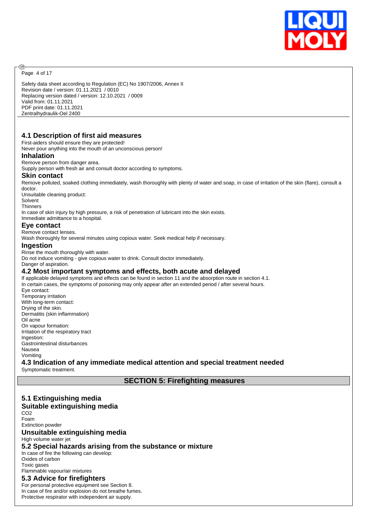

Page 4 of 17

@

Safety data sheet according to Regulation (EC) No 1907/2006, Annex II Revision date / version: 01.11.2021 / 0010 Replacing version dated / version: 12.10.2021 / 0009 Valid from: 01.11.2021 PDF print date: 01.11.2021 Zentralhydraulik-Oel 2400

## **4.1 Description of first aid measures**

First-aiders should ensure they are protected!

Never pour anything into the mouth of an unconscious person!

#### **Inhalation**

#### Remove person from danger area.

Supply person with fresh air and consult doctor according to symptoms.

#### **Skin contact**

Remove polluted, soaked clothing immediately, wash thoroughly with plenty of water and soap, in case of irritation of the skin (flare), consult a doctor.

Unsuitable cleaning product:

Solvent

**Thinners** 

In case of skin injury by high pressure, a risk of penetration of lubricant into the skin exists.

Immediate admittance to a hospital.

#### **Eye contact**

Remove contact lenses.

Wash thoroughly for several minutes using copious water. Seek medical help if necessary.

#### **Ingestion**

Rinse the mouth thoroughly with water.

Do not induce vomiting - give copious water to drink. Consult doctor immediately.

Danger of aspiration.

#### **4.2 Most important symptoms and effects, both acute and delayed**

If applicable delayed symptoms and effects can be found in section 11 and the absorption route in section 4.1. In certain cases, the symptoms of poisoning may only appear after an extended period / after several hours. Eye contact: Temporary irritation With long-term contact: Drying of the skin. Dermatitis (skin inflammation) Oil acne On vapour formation: Irritation of the respiratory tract Ingestion: Gastrointestinal disturbances Nausea Vomiting **4.3 Indication of any immediate medical attention and special treatment needed**

Symptomatic treatment.

**SECTION 5: Firefighting measures**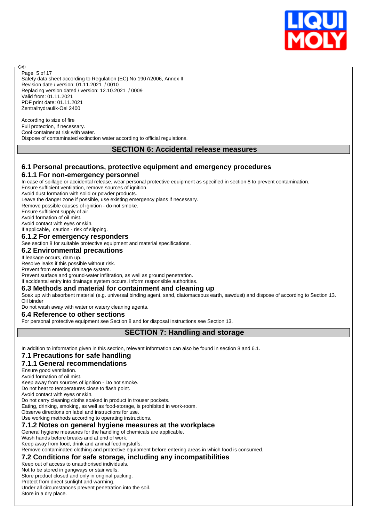

Safety data sheet according to Regulation (EC) No 1907/2006, Annex II Revision date / version: 01.11.2021 / 0010 Replacing version dated / version: 12.10.2021 / 0009 Valid from: 01.11.2021 PDF print date: 01.11.2021 Zentralhydraulik-Oel 2400 Page 5 of 17

According to size of fire Full protection, if necessary. Cool container at risk with water. Dispose of contaminated extinction water according to official regulations.

## **SECTION 6: Accidental release measures**

## **6.1 Personal precautions, protective equipment and emergency procedures**

## **6.1.1 For non-emergency personnel**

In case of spillage or accidental release, wear personal protective equipment as specified in section 8 to prevent contamination. Ensure sufficient ventilation, remove sources of ignition.

Avoid dust formation with solid or powder products.

Leave the danger zone if possible, use existing emergency plans if necessary.

Remove possible causes of ignition - do not smoke.

Ensure sufficient supply of air.

അ

Avoid formation of oil mist.

Avoid contact with eyes or skin.

If applicable, caution - risk of slipping.

#### **6.1.2 For emergency responders**

See section 8 for suitable protective equipment and material specifications.

#### **6.2 Environmental precautions**

If leakage occurs, dam up.

Resolve leaks if this possible without risk.

Prevent from entering drainage system.

Prevent surface and ground-water infiltration, as well as ground penetration.

If accidental entry into drainage system occurs, inform responsible authorities.

#### **6.3 Methods and material for containment and cleaning up**

Soak up with absorbent material (e.g. universal binding agent, sand, diatomaceous earth, sawdust) and dispose of according to Section 13. Oil binder

Do not wash away with water or watery cleaning agents.

#### **6.4 Reference to other sections**

For personal protective equipment see Section 8 and for disposal instructions see Section 13.

## **SECTION 7: Handling and storage**

In addition to information given in this section, relevant information can also be found in section 8 and 6.1.

# **7.1 Precautions for safe handling**

#### **7.1.1 General recommendations**

Ensure good ventilation.

Avoid formation of oil mist.

Keep away from sources of ignition - Do not smoke.

Do not heat to temperatures close to flash point.

Avoid contact with eyes or skin.

Do not carry cleaning cloths soaked in product in trouser pockets.

Eating, drinking, smoking, as well as food-storage, is prohibited in work-room.

Observe directions on label and instructions for use.

Use working methods according to operating instructions.

## **7.1.2 Notes on general hygiene measures at the workplace**

General hygiene measures for the handling of chemicals are applicable.

Wash hands before breaks and at end of work.

Keep away from food, drink and animal feedingstuffs.

Remove contaminated clothing and protective equipment before entering areas in which food is consumed.

**7.2 Conditions for safe storage, including any incompatibilities**

Keep out of access to unauthorised individuals.

Not to be stored in gangways or stair wells.

Store product closed and only in original packing. Protect from direct sunlight and warming.

Under all circumstances prevent penetration into the soil.

Store in a dry place.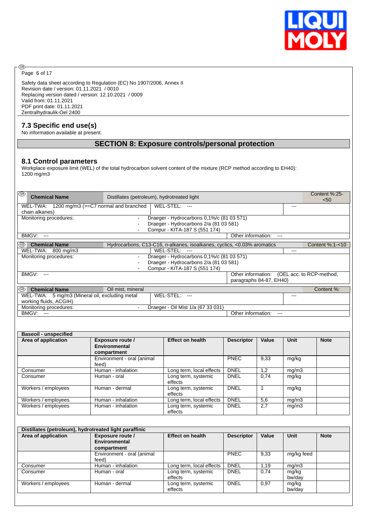

Page 6 of 17

◉

Safety data sheet according to Regulation (EC) No 1907/2006, Annex II Revision date / version: 01.11.2021 / 0010 Replacing version dated / version: 12.10.2021 / 0009 Valid from: 01.11.2021 PDF print date: 01.11.2021 Zentralhydraulik-Oel 2400

## **7.3 Specific end use(s)**

No information available at present.

# **SECTION 8: Exposure controls/personal protection**

#### **8.1 Control parameters**

Workplace exposure limit (WEL) of the total hydrocarbon solvent content of the mixture (RCP method according to EH40): 1200 mg/m3

| ∣®<br><b>Chemical Name</b>                     | Distillates (petroleum), hydrotreated light                             |                                             |       | Content %:25-<br>< 50 |
|------------------------------------------------|-------------------------------------------------------------------------|---------------------------------------------|-------|-----------------------|
| WEL-TWA: 1200 mg/m3 (>=C7 normal and branched  | WEL-STEL: ---                                                           |                                             | $---$ |                       |
| chain alkanes)                                 |                                                                         |                                             |       |                       |
| Monitoring procedures:                         | Draeger - Hydrocarbons 0,1%/c (81 03 571)<br>$\blacksquare$             |                                             |       |                       |
|                                                | Draeger - Hydrocarbons 2/a (81 03 581)                                  |                                             |       |                       |
|                                                | Compur - KITA-187 S (551 174)<br>$\blacksquare$                         |                                             |       |                       |
| BMGV:<br>$---$                                 |                                                                         | Other information:                          |       |                       |
| I®<br><b>Chemical Name</b>                     | Hydrocarbons, C13-C16, n-alkanes, isoalkanes, cyclics, <0.03% aromatics |                                             |       | Content %:1-<10       |
| WEL-TWA: 800 mg/m3                             | WEL-STEL: ---                                                           |                                             | ---   |                       |
| Monitoring procedures:                         | Draeger - Hydrocarbons 0,1%/c (81 03 571)<br>$\blacksquare$             |                                             |       |                       |
|                                                | Draeger - Hydrocarbons 2/a (81 03 581)                                  |                                             |       |                       |
|                                                | Compur - KITA-187 S (551 174)                                           |                                             |       |                       |
| BMGV:<br>$---$                                 |                                                                         | Other information: (OEL acc. to RCP-method, |       |                       |
|                                                |                                                                         | paragraphs 84-87, EH40)                     |       |                       |
| ∣®<br><b>Chemical Name</b>                     | Oil mist, mineral                                                       |                                             |       | Content %:            |
| WEL-TWA: 5 mg/m3 (Mineral oil, excluding metal | WEL-STEL:<br>$--$                                                       |                                             | ---   |                       |
| working fluids, ACGIH)                         |                                                                         |                                             |       |                       |
| Monitoring procedures:                         | Draeger - Oil Mist 1/a (67 33 031)<br>$\blacksquare$                    |                                             |       |                       |
| BMGV:<br>$---$                                 |                                                                         | Other information:<br>---                   |       |                       |
|                                                |                                                                         |                                             |       |                       |

| <b>Baseoil - unspecified</b> |                                                         |                                |                   |       |       |             |
|------------------------------|---------------------------------------------------------|--------------------------------|-------------------|-------|-------|-------------|
| Area of application          | <b>Exposure route /</b><br>Environmental<br>compartment | <b>Effect on health</b>        | <b>Descriptor</b> | Value | Unit  | <b>Note</b> |
|                              | Environment - oral (animal<br>feed)                     |                                | <b>PNEC</b>       | 9,33  | mg/kg |             |
| Consumer                     | Human - inhalation                                      | Long term, local effects       | <b>DNEL</b>       | 1,2   | mg/m3 |             |
| Consumer                     | Human - oral                                            | Long term, systemic<br>effects | <b>DNEL</b>       | 0,74  | mg/kg |             |
| Workers / employees          | Human - dermal                                          | Long term, systemic<br>effects | <b>DNEL</b>       |       | mg/kg |             |
| Workers / employees          | Human - inhalation                                      | Long term, local effects       | <b>DNEL</b>       | 5,6   | mg/m3 |             |
| Workers / employees          | Human - inhalation                                      | Long term, systemic<br>effects | <b>DNEL</b>       | 2,7   | mg/m3 |             |

| Distillates (petroleum), hydrotreated light paraffinic |                            |                          |                   |       |             |             |
|--------------------------------------------------------|----------------------------|--------------------------|-------------------|-------|-------------|-------------|
| Area of application                                    | Exposure route /           | <b>Effect on health</b>  | <b>Descriptor</b> | Value | <b>Unit</b> | <b>Note</b> |
|                                                        | Environmental              |                          |                   |       |             |             |
|                                                        | compartment                |                          |                   |       |             |             |
|                                                        | Environment - oral (animal |                          | <b>PNEC</b>       | 9,33  | mg/kg feed  |             |
|                                                        | feed)                      |                          |                   |       |             |             |
| Consumer                                               | Human - inhalation         | Long term, local effects | <b>DNEL</b>       | 1.19  | mg/m3       |             |
| Consumer                                               | Human - oral               | Long term, systemic      | <b>DNEL</b>       | 0.74  | mg/kg       |             |
|                                                        |                            | effects                  |                   |       | bw/day      |             |
| Workers / employees                                    | Human - dermal             | Long term, systemic      | <b>DNEL</b>       | 0,97  | mg/kg       |             |
|                                                        |                            | effects                  |                   |       | bw/day      |             |
|                                                        |                            |                          |                   |       |             |             |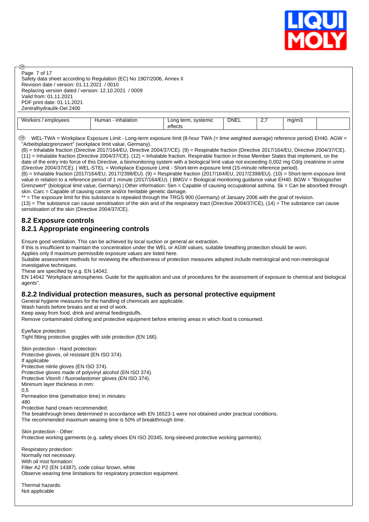

Page 7 of 17

അ

Safety data sheet according to Regulation (EC) No 1907/2006, Annex II Revision date / version: 01.11.2021 / 0010 Replacing version dated / version: 12.10.2021 / 0009 Valid from: 01.11.2021 PDF print date: 01.11.2021 Zentralhydraulik-Oel 2400

| <b>1 A</b><br>$I$ orkor $\epsilon$<br>emplovees<br>UINUS / | halation<br>Human | svstemic<br>∟ono<br>term.<br><br>effects | <b>DNEL</b> | <u>.</u> | ma/m3 |  |
|------------------------------------------------------------|-------------------|------------------------------------------|-------------|----------|-------|--|
|                                                            |                   |                                          |             |          |       |  |

 WEL-TWA = Workplace Exposure Limit - Long-term exposure limit (8-hour TWA (= time weighted average) reference period) EH40. AGW = "Arbeitsplatzgrenzwert" (workplace limit value, Germany).

(8) = Inhalable fraction (Directive 2017/164/EU, Directive 2004/37/CE). (9) = Respirable fraction (Directive 2017/164/EU, Directive 2004/37/CE). (11) = Inhalable fraction (Directive 2004/37/CE). (12) = Inhalable fraction. Respirable fraction in those Member States that implement, on the date of the entry into force of this Directive, a biomonitoring system with a biological limit value not exceeding 0,002 mg Cd/g creatinine in urine (Directive 2004/37/CE). | WEL-STEL = Workplace Exposure Limit - Short-term exposure limit (15-minute reference period). (8) = Inhalable fraction (2017/164/EU, 2017/2398/EU). (9) = Respirable fraction (2017/164/EU, 2017/2398/EU). (10) = Short-term exposure limit value in relation to a reference period of 1 minute (2017/164/EU). | BMGV = Biological monitoring guidance value EH40. BGW = "Biologischer

Grenzwert" (biological limit value, Germany) | Other information: Sen = Capable of causing occupational asthma. Sk = Can be absorbed through skin. Carc = Capable of causing cancer and/or heritable genetic damage. \*\* = The exposure limit for this substance is repealed through the TRGS 900 (Germany) of January 2006 with the goal of revision.

 $(13)$  = The substance can cause sensitisation of the skin and of the respiratory tract (Directive 2004/37/CE),  $(14)$  = The substance can cause sensitisation of the skin (Directive 2004/37/CE).

## **8.2 Exposure controls 8.2.1 Appropriate engineering controls**

Ensure good ventilation. This can be achieved by local suction or general air extraction.

If this is insufficient to maintain the concentration under the WEL or AGW values, suitable breathing protection should be worn.

Applies only if maximum permissible exposure values are listed here.

Suitable assessment methods for reviewing the effectiveness of protection measures adopted include metrological and non-metrological investigative techniques.

These are specified by e.g. EN 14042.

EN 14042 "Workplace atmospheres. Guide for the application and use of procedures for the assessment of exposure to chemical and biological agents".

#### **8.2.2 Individual protection measures, such as personal protective equipment**

General hygiene measures for the handling of chemicals are applicable.

Wash hands before breaks and at end of work.

Keep away from food, drink and animal feedingstuffs.

Remove contaminated clothing and protective equipment before entering areas in which food is consumed.

Eye/face protection: Tight fitting protective goggles with side protection (EN 166).

Skin protection - Hand protection: Protective gloves, oil resistant (EN ISO 374). If applicable Protective nitrile gloves (EN ISO 374). Protective gloves made of polyvinyl alcohol (EN ISO 374). Protective Viton® / fluoroelastomer gloves (EN ISO 374). Minimum layer thickness in mm: 0,5 Permeation time (penetration time) in minutes: 480

Protective hand cream recommended.

The breakthrough times determined in accordance with EN 16523-1 were not obtained under practical conditions. The recommended maximum wearing time is 50% of breakthrough time.

Skin protection - Other: Protective working garments (e.g. safety shoes EN ISO 20345, long-sleeved protective working garments).

Respiratory protection: Normally not necessary. With oil mist formation: Filter A2 P2 (EN 14387), code colour brown, white Observe wearing time limitations for respiratory protection equipment.

Thermal hazards: Not applicable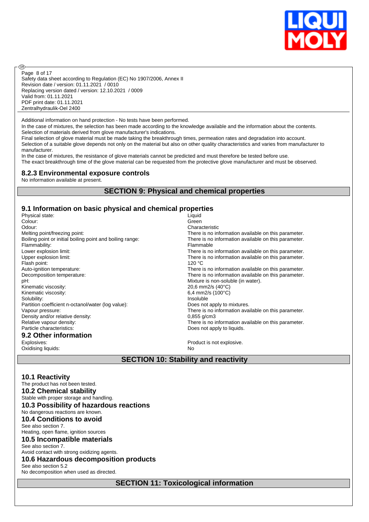

Safety data sheet according to Regulation (EC) No 1907/2006, Annex II Revision date / version: 01.11.2021 / 0010 Replacing version dated / version: 12.10.2021 / 0009 Valid from: 01.11.2021 PDF print date: 01.11.2021 Zentralhydraulik-Oel 2400 Page 8 of 17

Additional information on hand protection - No tests have been performed.

In the case of mixtures, the selection has been made according to the knowledge available and the information about the contents. Selection of materials derived from glove manufacturer's indications.

Final selection of glove material must be made taking the breakthrough times, permeation rates and degradation into account. Selection of a suitable glove depends not only on the material but also on other quality characteristics and varies from manufacturer to manufacturer.

In the case of mixtures, the resistance of glove materials cannot be predicted and must therefore be tested before use. The exact breakthrough time of the glove material can be requested from the protective glove manufacturer and must be observed.

#### **8.2.3 Environmental exposure controls**

No information available at present.

**®** 

## **SECTION 9: Physical and chemical properties**

#### **9.1 Information on basic physical and chemical properties**

| Physical state:                                           | Liquid                                               |
|-----------------------------------------------------------|------------------------------------------------------|
| Colour:                                                   | Green                                                |
| Odour:                                                    | Characteristic                                       |
| Melting point/freezing point:                             | There is no information available on this parameter. |
| Boiling point or initial boiling point and boiling range: | There is no information available on this parameter. |
| Flammability:                                             | Flammable                                            |
| Lower explosion limit:                                    | There is no information available on this parameter. |
| Upper explosion limit:                                    | There is no information available on this parameter. |
| Flash point:                                              | 120 °C                                               |
| Auto-ignition temperature:                                | There is no information available on this parameter. |
| Decomposition temperature:                                | There is no information available on this parameter. |
| pH:                                                       | Mixture is non-soluble (in water).                   |
| Kinematic viscosity:                                      | 20,6 mm2/s (40°C)                                    |
| Kinematic viscosity:                                      | 6,4 mm2/s $(100^{\circ}C)$                           |
| Solubility:                                               | Insoluble                                            |
| Partition coefficient n-octanol/water (log value):        | Does not apply to mixtures.                          |
| Vapour pressure:                                          | There is no information available on this parameter. |
| Density and/or relative density:                          | $0,855$ g/cm3                                        |
| Relative vapour density:                                  | There is no information available on this parameter. |
| Particle characteristics:                                 | Does not apply to liquids.                           |
| 9.2 Other information                                     |                                                      |
| Explosives:                                               | Product is not explosive.                            |
| Oxidising liquids:                                        | No                                                   |

**SECTION 10: Stability and reactivity**

#### **10.1 Reactivity**

| The product has not been tested.            |
|---------------------------------------------|
| <b>10.2 Chemical stability</b>              |
| Stable with proper storage and handling.    |
| 10.3 Possibility of hazardous reactions     |
| No dangerous reactions are known.           |
| <b>10.4 Conditions to avoid</b>             |
| See also section 7.                         |
| Heating, open flame, ignition sources       |
| 10.5 Incompatible materials                 |
| See also section 7.                         |
| Avoid contact with strong oxidizing agents. |
| 10.6 Hazardous decomposition products       |
| See also section 5.2                        |
| No decomposition when used as directed.     |
|                                             |

**SECTION 11: Toxicological information**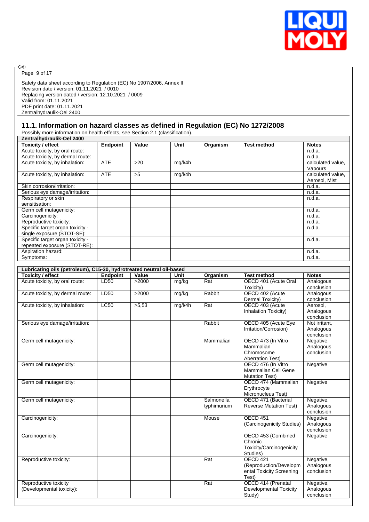

 $\circledcirc$ Page 9 of 17

Safety data sheet according to Regulation (EC) No 1907/2006, Annex II Revision date / version: 01.11.2021 / 0010 Replacing version dated / version: 12.10.2021 / 0009 Valid from: 01.11.2021 PDF print date: 01.11.2021 Zentralhydraulik-Oel 2400

## **11.1. Information on hazard classes as defined in Regulation (EC) No 1272/2008**

Possibly more information on health effects, see Section 2.1 (classification).

| Zentralhydraulik-Oel 2400                                            |                 |       |         |             |                               |                   |  |
|----------------------------------------------------------------------|-----------------|-------|---------|-------------|-------------------------------|-------------------|--|
| <b>Toxicity / effect</b>                                             | <b>Endpoint</b> | Value | Unit    | Organism    | <b>Test method</b>            | <b>Notes</b>      |  |
| Acute toxicity, by oral route:                                       |                 |       |         |             |                               | n.d.a.            |  |
| Acute toxicity, by dermal route:                                     |                 |       |         |             |                               | n.d.a.            |  |
| Acute toxicity, by inhalation:                                       | <b>ATE</b>      | >20   | mg/l/4h |             |                               | calculated value, |  |
|                                                                      |                 |       |         |             |                               | Vapours           |  |
| Acute toxicity, by inhalation:                                       | <b>ATE</b>      | >5    | mg/l/4h |             |                               | calculated value. |  |
|                                                                      |                 |       |         |             |                               | Aerosol, Mist     |  |
| Skin corrosion/irritation:                                           |                 |       |         |             |                               | n.d.a.            |  |
|                                                                      |                 |       |         |             |                               |                   |  |
| Serious eye damage/irritation:                                       |                 |       |         |             |                               | n.d.a.            |  |
| Respiratory or skin                                                  |                 |       |         |             |                               | n.d.a.            |  |
| sensitisation:                                                       |                 |       |         |             |                               |                   |  |
| Germ cell mutagenicity:                                              |                 |       |         |             |                               | n.d.a.            |  |
| Carcinogenicity:                                                     |                 |       |         |             |                               | n.d.a.            |  |
| Reproductive toxicity:                                               |                 |       |         |             |                               | n.d.a.            |  |
| Specific target organ toxicity -                                     |                 |       |         |             |                               | n.d.a.            |  |
| single exposure (STOT-SE):                                           |                 |       |         |             |                               |                   |  |
| Specific target organ toxicity -                                     |                 |       |         |             |                               | n.d.a.            |  |
| repeated exposure (STOT-RE):                                         |                 |       |         |             |                               |                   |  |
| Aspiration hazard:                                                   |                 |       |         |             |                               | n.d.a.            |  |
| Symptoms:                                                            |                 |       |         |             |                               | n.d.a.            |  |
|                                                                      |                 |       |         |             |                               |                   |  |
| Lubricating oils (petroleum), C15-30, hydrotreated neutral oil-based |                 |       |         |             |                               |                   |  |
| <b>Toxicity / effect</b>                                             | Endpoint        | Value | Unit    | Organism    | <b>Test method</b>            | <b>Notes</b>      |  |
| Acute toxicity, by oral route:                                       | LD50            | >2000 | mg/kg   | Rat         | OECD 401 (Acute Oral          | Analogous         |  |
|                                                                      |                 |       |         |             | Toxicity)                     | conclusion        |  |
| Acute toxicity, by dermal route:                                     | LD50            | >2000 | mg/kg   | Rabbit      | OECD 402 (Acute               | Analogous         |  |
|                                                                      |                 |       |         |             | Dermal Toxicity)              | conclusion        |  |
| Acute toxicity, by inhalation:                                       | <b>LC50</b>     | >5,53 | mg/l/4h | Rat         | OECD 403 (Acute               | Aerosol.          |  |
|                                                                      |                 |       |         |             | Inhalation Toxicity)          | Analogous         |  |
|                                                                      |                 |       |         |             |                               | conclusion        |  |
|                                                                      |                 |       |         | Rabbit      | OECD 405 (Acute Eye           | Not irritant,     |  |
| Serious eye damage/irritation:                                       |                 |       |         |             |                               |                   |  |
|                                                                      |                 |       |         |             | Irritation/Corrosion)         | Analogous         |  |
|                                                                      |                 |       |         |             |                               | conclusion        |  |
| Germ cell mutagenicity:                                              |                 |       |         | Mammalian   | OECD 473 (In Vitro            | Negative,         |  |
|                                                                      |                 |       |         |             | Mammalian                     | Analogous         |  |
|                                                                      |                 |       |         |             | Chromosome                    | conclusion        |  |
|                                                                      |                 |       |         |             | <b>Aberration Test)</b>       |                   |  |
| Germ cell mutagenicity:                                              |                 |       |         |             | OECD 476 (In Vitro            | Negative          |  |
|                                                                      |                 |       |         |             | Mammalian Cell Gene           |                   |  |
|                                                                      |                 |       |         |             | <b>Mutation Test)</b>         |                   |  |
| Germ cell mutagenicity:                                              |                 |       |         |             | OECD 474 (Mammalian           | Negative          |  |
|                                                                      |                 |       |         |             | Erythrocyte                   |                   |  |
|                                                                      |                 |       |         |             | Micronucleus Test)            |                   |  |
| Germ cell mutagenicity:                                              |                 |       |         | Salmonella  | OECD 471 (Bacterial           | Negative,         |  |
|                                                                      |                 |       |         | typhimurium | <b>Reverse Mutation Test)</b> | Analogous         |  |
|                                                                      |                 |       |         |             |                               | conclusion        |  |
| Carcinogenicity:                                                     |                 |       |         | Mouse       | OECD 451                      | Negative,         |  |
|                                                                      |                 |       |         |             | (Carcinogenicity Studies)     | Analogous         |  |
|                                                                      |                 |       |         |             |                               | conclusion        |  |
| Carcinogenicity:                                                     |                 |       |         |             | OECD 453 (Combined            | Negative          |  |
|                                                                      |                 |       |         |             | Chronic                       |                   |  |
|                                                                      |                 |       |         |             | Toxicity/Carcinogenicity      |                   |  |
|                                                                      |                 |       |         |             |                               |                   |  |
|                                                                      |                 |       |         |             | Studies)                      |                   |  |
| Reproductive toxicity:                                               |                 |       |         | Rat         | OECD 421                      | Negative,         |  |
|                                                                      |                 |       |         |             | (Reproduction/Developm        | Analogous         |  |
|                                                                      |                 |       |         |             | ental Toxicity Screening      | conclusion        |  |
|                                                                      |                 |       |         |             | Test)                         |                   |  |
| Reproductive toxicity                                                |                 |       |         | Rat         | OECD 414 (Prenatal            | Negative,         |  |
| (Developmental toxicity):                                            |                 |       |         |             | <b>Developmental Toxicity</b> | Analogous         |  |
|                                                                      |                 |       |         |             | Study)                        | conclusion        |  |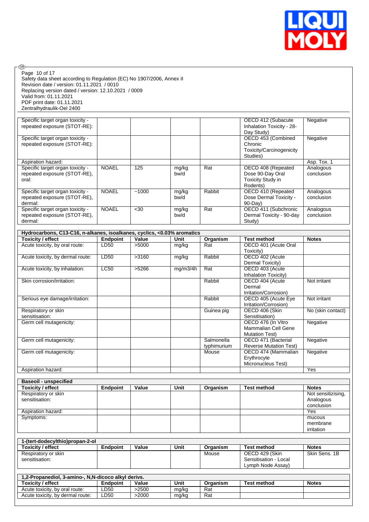

| Page 10 of 17                                                                                      |                  |                |                |             |                                                 |                          |
|----------------------------------------------------------------------------------------------------|------------------|----------------|----------------|-------------|-------------------------------------------------|--------------------------|
| Safety data sheet according to Regulation (EC) No 1907/2006, Annex II                              |                  |                |                |             |                                                 |                          |
| Revision date / version: 01.11.2021 / 0010<br>Replacing version dated / version: 12.10.2021 / 0009 |                  |                |                |             |                                                 |                          |
| Valid from: 01.11.2021                                                                             |                  |                |                |             |                                                 |                          |
| PDF print date: 01.11.2021                                                                         |                  |                |                |             |                                                 |                          |
| Zentralhydraulik-Oel 2400                                                                          |                  |                |                |             |                                                 |                          |
|                                                                                                    |                  |                |                |             |                                                 |                          |
| Specific target organ toxicity -<br>repeated exposure (STOT-RE):                                   |                  |                |                |             | OECD 412 (Subacute<br>Inhalation Toxicity - 28- | Negative                 |
|                                                                                                    |                  |                |                |             | Day Study)                                      |                          |
| Specific target organ toxicity -                                                                   |                  |                |                |             | OECD 453 (Combined                              | Negative                 |
| repeated exposure (STOT-RE):                                                                       |                  |                |                |             | Chronic                                         |                          |
|                                                                                                    |                  |                |                |             | Toxicity/Carcinogenicity                        |                          |
|                                                                                                    |                  |                |                |             | Studies)                                        |                          |
| Aspiration hazard:<br>Specific target organ toxicity -                                             | <b>NOAEL</b>     | 125            | mg/kg          | Rat         | OECD 408 (Repeated                              | Asp. Tox. 1<br>Analogous |
| repeated exposure (STOT-RE),                                                                       |                  |                | bw/d           |             | Dose 90-Day Oral                                | conclusion               |
| oral:                                                                                              |                  |                |                |             | Toxicity Study in                               |                          |
|                                                                                                    |                  |                |                |             | Rodents)                                        |                          |
| Specific target organ toxicity -                                                                   | <b>NOAEL</b>     | $-1000$        | mg/kg          | Rabbit      | OECD 410 (Repeated                              | Analogous                |
| repeated exposure (STOT-RE),                                                                       |                  |                | bw/d           |             | Dose Dermal Toxicity -                          | conclusion               |
| dermal:<br>Specific target organ toxicity -                                                        | <b>NOAEL</b>     | $30$           |                | Rat         | 90-Day)<br>OECD 411 (Subchronic                 | Analogous                |
| repeated exposure (STOT-RE),                                                                       |                  |                | mg/kg<br>bw/d  |             | Dermal Toxicity - 90-day                        | conclusion               |
| dermal:                                                                                            |                  |                |                |             | Study)                                          |                          |
|                                                                                                    |                  |                |                |             |                                                 |                          |
| Hydrocarbons, C13-C16, n-alkanes, isoalkanes, cyclics, <0.03% aromatics                            |                  |                |                |             |                                                 |                          |
| <b>Toxicity / effect</b>                                                                           | <b>Endpoint</b>  | Value          | Unit           | Organism    | <b>Test method</b>                              | <b>Notes</b>             |
| Acute toxicity, by oral route:                                                                     | LD50             | >5000          | mg/kg          | Rat         | OECD 401 (Acute Oral                            |                          |
| Acute toxicity, by dermal route:                                                                   | LD <sub>50</sub> | >3160          | mg/kg          | Rabbit      | Toxicity)<br>OECD 402 (Acute                    |                          |
|                                                                                                    |                  |                |                |             | Dermal Toxicity)                                |                          |
| Acute toxicity, by inhalation:                                                                     | LC50             | >5266          | mg/m3/4h       | Rat         | OECD 403 (Acute                                 |                          |
|                                                                                                    |                  |                |                |             | Inhalation Toxicity)                            |                          |
| Skin corrosion/irritation:                                                                         |                  |                |                | Rabbit      | OECD 404 (Acute                                 | Not irritant             |
|                                                                                                    |                  |                |                |             | Dermal<br>Irritation/Corrosion)                 |                          |
| Serious eye damage/irritation:                                                                     |                  |                |                | Rabbit      | OECD 405 (Acute Eye                             | Not irritant             |
|                                                                                                    |                  |                |                |             | Irritation/Corrosion)                           |                          |
| Respiratory or skin                                                                                |                  |                |                | Guinea pig  | OECD 406 (Skin                                  | No (skin contact)        |
| sensitisation:                                                                                     |                  |                |                |             | Sensitisation)                                  |                          |
| Germ cell mutagenicity:                                                                            |                  |                |                |             | OECD 476 (In Vitro                              | Negative                 |
|                                                                                                    |                  |                |                |             | <b>Mammalian Cell Gene</b>                      |                          |
| Germ cell mutagenicity:                                                                            |                  |                |                | Salmonella  | <b>Mutation Test)</b><br>OECD 471 (Bacterial    | Negative                 |
|                                                                                                    |                  |                |                | typhimurium | <b>Reverse Mutation Test)</b>                   |                          |
| Germ cell mutagenicity:                                                                            |                  |                |                | Mouse       | OECD 474 (Mammalian                             | Negative                 |
|                                                                                                    |                  |                |                |             | Erythrocyte                                     |                          |
|                                                                                                    |                  |                |                |             | Micronucleus Test)                              |                          |
| Aspiration hazard:                                                                                 |                  |                |                |             |                                                 | Yes                      |
| <b>Baseoil - unspecified</b>                                                                       |                  |                |                |             |                                                 |                          |
| <b>Toxicity / effect</b>                                                                           | <b>Endpoint</b>  | Value          | Unit           | Organism    | <b>Test method</b>                              | <b>Notes</b>             |
| Respiratory or skin                                                                                |                  |                |                |             |                                                 | Not sensitizising,       |
| sensitisation:                                                                                     |                  |                |                |             |                                                 | Analogous                |
|                                                                                                    |                  |                |                |             |                                                 | conclusion               |
| Aspiration hazard:<br>Symptoms:                                                                    |                  |                |                |             |                                                 | Yes<br>mucous            |
|                                                                                                    |                  |                |                |             |                                                 | membrane                 |
|                                                                                                    |                  |                |                |             |                                                 | irritation               |
|                                                                                                    |                  |                |                |             |                                                 |                          |
|                                                                                                    |                  |                |                |             |                                                 |                          |
| 1-(tert-dodecylthio)propan-2-ol                                                                    |                  |                |                |             |                                                 |                          |
| <b>Toxicity / effect</b>                                                                           | <b>Endpoint</b>  | Value          | Unit           | Organism    | <b>Test method</b>                              | <b>Notes</b>             |
| Respiratory or skin                                                                                |                  |                |                | Mouse       | OECD 429 (Skin                                  | Skin Sens. 1B            |
| sensitisation:                                                                                     |                  |                |                |             | Sensitisation - Local                           |                          |
|                                                                                                    |                  |                |                |             | Lymph Node Assay)                               |                          |
| 1,2-Propanediol, 3-amino-, N,N-dicoco alkyl derivs.                                                |                  |                |                |             |                                                 |                          |
| <b>Toxicity / effect</b>                                                                           | <b>Endpoint</b>  | Value          | Unit           | Organism    | <b>Test method</b>                              | <b>Notes</b>             |
| Acute toxicity, by oral route:<br>Acute toxicity, by dermal route:                                 | LD50<br>LD50     | >2500<br>>2000 | mg/kg<br>mg/kg | Rat<br>Rat  |                                                 |                          |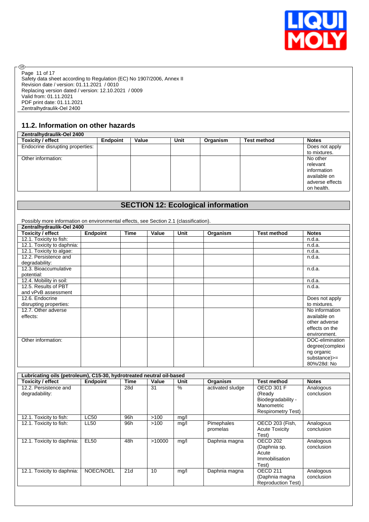

Safety data sheet according to Regulation (EC) No 1907/2006, Annex II Revision date / version: 01.11.2021 / 0010 Replacing version dated / version: 12.10.2021 / 0009 Valid from: 01.11.2021 PDF print date: 01.11.2021 Zentralhydraulik-Oel 2400 Page 11 of 17

# **11.2. Information on other hazards**

®

| Zentralhydraulik-Oel 2400        |                 |       |      |          |                    |                 |
|----------------------------------|-----------------|-------|------|----------|--------------------|-----------------|
| Toxicity / effect                | <b>Endpoint</b> | Value | Unit | Organism | <b>Test method</b> | <b>Notes</b>    |
| Endocrine disrupting properties: |                 |       |      |          |                    | Does not apply  |
|                                  |                 |       |      |          |                    | to mixtures.    |
| Other information:               |                 |       |      |          |                    | No other        |
|                                  |                 |       |      |          |                    | relevant        |
|                                  |                 |       |      |          |                    | information     |
|                                  |                 |       |      |          |                    | available on    |
|                                  |                 |       |      |          |                    | adverse effects |
|                                  |                 |       |      |          |                    | on health.      |

# **SECTION 12: Ecological information**

Possibly more information on environmental effects, see Section 2.1 (classification). **Zentralhydraulik-Oel 2400 Toxicity / effect Endpoint Time Value Unit Organism Test method Notes** 12.1. Toxicity to fish: n.d.a. 12.1. Toxicity to daphnia: n.d.a. n.d.a. 12.1. Toxicity to algae: n.d.a. 12.2. Persistence and degradability: n.d.a. 12.3. Bioaccumulative potential: n.d.a. 12.4. Mobility in soil: n.d.a. 12.5. Results of PBT and vPvB assessment n.d.a. 12.6. Endocrine disrupting properties: Does not apply to mixtures. 12.7. Other adverse effects: No information available on other adverse effects on the environment. Other information: DOC-elimination: DOC-elimination: degree(complexi ng organic substance)>= 80%/28d: No

| Toxicity / effect                       | <b>Endpoint</b> | Time | Value  | Unit | Organism               | <b>Test method</b>                                                                    | <b>Notes</b>            |
|-----------------------------------------|-----------------|------|--------|------|------------------------|---------------------------------------------------------------------------------------|-------------------------|
| 12.2. Persistence and<br>degradability: |                 | 28d  | 31     | $\%$ | activated sludge       | OECD 301 F<br>(Ready<br>Biodegradability -<br>Manometric<br><b>Respirometry Test)</b> | Analogous<br>conclusion |
| 12.1. Toxicity to fish:                 | <b>LC50</b>     | 96h  | >100   | mg/l |                        |                                                                                       |                         |
| 12.1. Toxicity to fish:                 | LL50            | 96h  | >100   | mg/l | Pimephales<br>promelas | OECD 203 (Fish,<br><b>Acute Toxicity</b><br>Test)                                     | Analogous<br>conclusion |
| 12.1. Toxicity to daphnia:              | <b>EL50</b>     | 48h  | >10000 | mg/l | Daphnia magna          | OECD 202<br>(Daphnia sp.<br>Acute<br>Immobilisation<br>Test)                          | Analogous<br>conclusion |
| 12.1. Toxicity to daphnia:              | NOEC/NOEL       | 21d  | 10     | mg/l | Daphnia magna          | OECD <sub>211</sub><br>(Daphnia magna<br><b>Reproduction Test)</b>                    | Analogous<br>conclusion |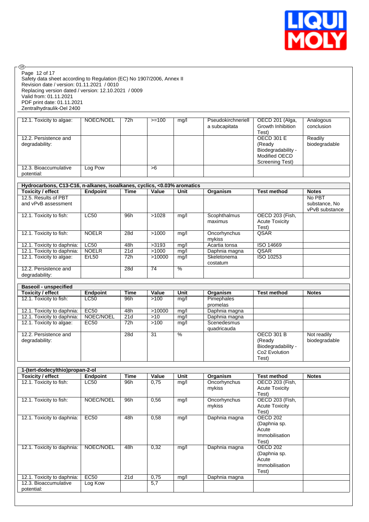

| Safety data sheet according to Regulation (EC) No 1907/2006, Annex II<br>Revision date / version: 01.11.2021 / 0010 |                             |                         |                |               |                                |                           |                                 |
|---------------------------------------------------------------------------------------------------------------------|-----------------------------|-------------------------|----------------|---------------|--------------------------------|---------------------------|---------------------------------|
| Replacing version dated / version: 12.10.2021 / 0009                                                                |                             |                         |                |               |                                |                           |                                 |
| Valid from: 01.11.2021                                                                                              |                             |                         |                |               |                                |                           |                                 |
| PDF print date: 01.11.2021                                                                                          |                             |                         |                |               |                                |                           |                                 |
| Zentralhydraulik-Oel 2400                                                                                           |                             |                         |                |               |                                |                           |                                 |
| 12.1. Toxicity to algae:                                                                                            | NOEC/NOEL                   | 72h                     | $>=100$        | mg/l          | Pseudokirchneriell             | OECD 201 (Alga,           | Analogous                       |
|                                                                                                                     |                             |                         |                |               | a subcapitata                  | Growth Inhibition         | conclusion                      |
|                                                                                                                     |                             |                         |                |               |                                | Test)                     |                                 |
| 12.2. Persistence and                                                                                               |                             |                         |                |               |                                | <b>OECD 301 E</b>         | Readily                         |
| degradability:                                                                                                      |                             |                         |                |               |                                | (Ready                    | biodegradable                   |
|                                                                                                                     |                             |                         |                |               |                                | Biodegradability -        |                                 |
|                                                                                                                     |                             |                         |                |               |                                | Modified OECD             |                                 |
| 12.3. Bioaccumulative                                                                                               | Log Pow                     |                         | >6             |               |                                | Screening Test)           |                                 |
| potential:                                                                                                          |                             |                         |                |               |                                |                           |                                 |
|                                                                                                                     |                             |                         |                |               |                                |                           |                                 |
| Hydrocarbons, C13-C16, n-alkanes, isoalkanes, cyclics, <0.03% aromatics                                             |                             |                         |                |               |                                |                           |                                 |
| <b>Toxicity / effect</b>                                                                                            | <b>Endpoint</b>             | Time                    | Value          | Unit          | Organism                       | <b>Test method</b>        | <b>Notes</b>                    |
| 12.5. Results of PBT<br>and vPvB assessment                                                                         |                             |                         |                |               |                                |                           | No PBT                          |
|                                                                                                                     |                             |                         |                |               |                                |                           | substance, No<br>vPvB substance |
| 12.1. Toxicity to fish:                                                                                             | LC50                        | 96h                     | >1028          | mg/l          | Scophthalmus                   | OECD 203 (Fish,           |                                 |
|                                                                                                                     |                             |                         |                |               | maximus                        | <b>Acute Toxicity</b>     |                                 |
|                                                                                                                     |                             |                         |                |               |                                | Test)                     |                                 |
| 12.1. Toxicity to fish:                                                                                             | <b>NOELR</b>                | 28d                     | >1000          | mg/l          | Oncorhynchus                   | QSAR                      |                                 |
|                                                                                                                     |                             |                         |                |               | mykiss                         |                           |                                 |
| 12.1. Toxicity to daphnia:<br>12.1. Toxicity to daphnia:                                                            | <b>LC50</b><br><b>NOELR</b> | 48h<br>$\overline{21d}$ | >3193<br>>1000 | mg/l<br>mg/l  | Acartia tonsa<br>Daphnia magna | ISO 14669<br>QSAR         |                                 |
| 12.1. Toxicity to algae:                                                                                            | ErL50                       | 72h                     | >10000         | mg/l          | Skeletonema                    | ISO 10253                 |                                 |
|                                                                                                                     |                             |                         |                |               | costatum                       |                           |                                 |
| 12.2. Persistence and                                                                                               |                             | 28d                     | 74             | $\frac{9}{6}$ |                                |                           |                                 |
| degradability:                                                                                                      |                             |                         |                |               |                                |                           |                                 |
| <b>Baseoil - unspecified</b>                                                                                        |                             |                         |                |               |                                |                           |                                 |
| <b>Toxicity / effect</b>                                                                                            | <b>Endpoint</b>             | <b>Time</b>             | Value          | Unit          | Organism                       | <b>Test method</b>        | <b>Notes</b>                    |
| 12.1. Toxicity to fish:                                                                                             | LC50                        | 96h                     | >100           | mq/l          | Pimephales                     |                           |                                 |
|                                                                                                                     |                             |                         |                |               | promelas                       |                           |                                 |
| 12.1. Toxicity to daphnia:                                                                                          | <b>EC50</b>                 | 48h                     | >10000         | mg/l          | Daphnia magna                  |                           |                                 |
| 12.1. Toxicity to daphnia:                                                                                          | NOEC/NOEL                   | 21d                     | $>10$          | mg/l          | Daphnia magna                  |                           |                                 |
| 12.1. Toxicity to algae:                                                                                            | <b>EC50</b>                 | 72h                     | >100           | mq/l          | Scenedesmus                    |                           |                                 |
| 12.2. Persistence and                                                                                               |                             | 28d                     | 31             | $\frac{9}{6}$ | quadricauda                    | <b>OECD 301 B</b>         |                                 |
| degradability:                                                                                                      |                             |                         |                |               |                                | (Ready                    | Not readily<br>biodegradable    |
|                                                                                                                     |                             |                         |                |               |                                | Biodegradability -        |                                 |
|                                                                                                                     |                             |                         |                |               |                                | Co <sub>2</sub> Evolution |                                 |
|                                                                                                                     |                             |                         |                |               |                                | Test)                     |                                 |
|                                                                                                                     |                             |                         |                |               |                                |                           |                                 |
| 1-(tert-dodecylthio)propan-2-ol                                                                                     | <b>Endpoint</b>             | <b>Time</b>             | Value          | Unit          |                                | <b>Test method</b>        | <b>Notes</b>                    |
| <b>Toxicity / effect</b><br>12.1. Toxicity to fish:                                                                 | LC50                        | 96h                     | 0,75           | mg/l          | Organism<br>Oncorhynchus       | OECD 203 (Fish,           |                                 |
|                                                                                                                     |                             |                         |                |               | mykiss                         | <b>Acute Toxicity</b>     |                                 |
|                                                                                                                     |                             |                         |                |               |                                | Test)                     |                                 |
| 12.1. Toxicity to fish:                                                                                             | NOEC/NOEL                   | 96h                     | 0,56           | mg/l          | Oncorhynchus                   | <b>OECD 203 (Fish,</b>    |                                 |
|                                                                                                                     |                             |                         |                |               | mykiss                         | <b>Acute Toxicity</b>     |                                 |
|                                                                                                                     |                             |                         |                |               |                                | Test)                     |                                 |
| 12.1. Toxicity to daphnia:                                                                                          | <b>EC50</b>                 | 48h                     | 0,58           | mg/l          | Daphnia magna                  | <b>OECD 202</b>           |                                 |
|                                                                                                                     |                             |                         |                |               |                                | (Daphnia sp.<br>Acute     |                                 |
|                                                                                                                     |                             |                         |                |               |                                | Immobilisation            |                                 |
|                                                                                                                     |                             |                         |                |               |                                | Test)                     |                                 |
| 12.1. Toxicity to daphnia:                                                                                          | NOEC/NOEL                   | 48h                     | 0,32           | mg/l          | Daphnia magna                  | <b>OECD 202</b>           |                                 |
|                                                                                                                     |                             |                         |                |               |                                | (Daphnia sp.              |                                 |
|                                                                                                                     |                             |                         |                |               |                                | Acute                     |                                 |
|                                                                                                                     |                             |                         |                |               |                                | Immobilisation<br>Test)   |                                 |
|                                                                                                                     |                             |                         |                |               |                                |                           |                                 |
|                                                                                                                     |                             |                         |                |               |                                |                           |                                 |
| 12.1. Toxicity to daphnia:<br>12.3. Bioaccumulative                                                                 | <b>EC50</b><br>Log Kow      | 21d                     | 0,75<br>5,7    | mg/l          | Daphnia magna                  |                           |                                 |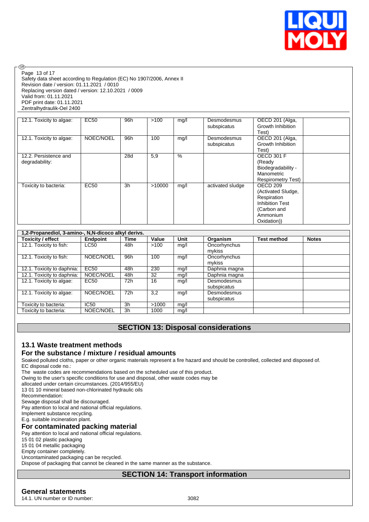

Page 13 of 17

**®** 

Safety data sheet according to Regulation (EC) No 1907/2006, Annex II Revision date / version: 01.11.2021 / 0010 Replacing version dated / version: 12.10.2021 / 0009 Valid from: 01.11.2021 PDF print date: 01.11.2021 Zentralhydraulik-Oel 2400

| 12.1. Toxicity to algae:                | <b>EC50</b> | 96h | >100   | mg/l | Desmodesmus<br>subspicatus | OECD 201 (Alga,<br>Growth Inhibition<br>Test)                                                                     |
|-----------------------------------------|-------------|-----|--------|------|----------------------------|-------------------------------------------------------------------------------------------------------------------|
| 12.1. Toxicity to algae:                | NOEC/NOEL   | 96h | 100    | mg/l | Desmodesmus<br>subspicatus | OECD 201 (Alga,<br>Growth Inhibition<br>Test)                                                                     |
| 12.2. Persistence and<br>degradability: |             | 28d | 5,9    | $\%$ |                            | <b>OECD 301 F</b><br>(Ready<br>Biodegradability -<br>Manometric<br><b>Respirometry Test)</b>                      |
| Toxicity to bacteria:                   | <b>EC50</b> | 3h  | >10000 | mg/l | activated sludge           | OECD 209<br>(Activated Sludge,<br>Respiration<br><b>Inhibition Test</b><br>(Carbon and<br>Ammonium<br>Oxidation)) |

| 1,2-Propanediol, 3-amino-, N,N-dicoco alkyl derivs. |                  |                |       |      |                            |                    |              |
|-----------------------------------------------------|------------------|----------------|-------|------|----------------------------|--------------------|--------------|
| <b>Toxicity / effect</b>                            | Endpoint         | Time           | Value | Unit | Organism                   | <b>Test method</b> | <b>Notes</b> |
| 12.1. Toxicity to fish:                             | LC50             | 48h            | >100  | mg/l | Oncorhynchus<br>mykiss     |                    |              |
| 12.1. Toxicity to fish:                             | NOEC/NOEL        | 96h            | 100   | mq/l | Oncorhynchus<br>mykiss     |                    |              |
| 12.1. Toxicity to daphnia:                          | EC <sub>50</sub> | 48h            | 230   | mg/l | Daphnia magna              |                    |              |
| 12.1. Toxicity to daphnia:                          | NOEC/NOEL        | 48h            | 32    | mg/l | Daphnia magna              |                    |              |
| 12.1. Toxicity to algae:                            | EC <sub>50</sub> | 72h            | 16    | mg/l | Desmodesmus<br>subspicatus |                    |              |
| 12.1. Toxicity to algae:                            | NOEC/NOEL        | 72h            | 3,2   | mq/l | Desmodesmus<br>subspicatus |                    |              |
| Toxicity to bacteria:                               | IC50             | 3 <sub>h</sub> | >1000 | mg/l |                            |                    |              |
| Toxicity to bacteria:                               | NOEC/NOEL        | 3h             | 1000  | mg/l |                            |                    |              |

# **SECTION 13: Disposal considerations**

## **13.1 Waste treatment methods**

## **For the substance / mixture / residual amounts**

Soaked polluted cloths, paper or other organic materials represent a fire hazard and should be controlled, collected and disposed of. EC disposal code no.:

The waste codes are recommendations based on the scheduled use of this product.

Owing to the user's specific conditions for use and disposal, other waste codes may be

allocated under certain circumstances. (2014/955/EU)

13 01 10 mineral based non-chlorinated hydraulic oils

Recommendation:

Sewage disposal shall be discouraged.

Pay attention to local and national official regulations.

Implement substance recycling.

E.g. suitable incineration plant.

#### **For contaminated packing material**

Pay attention to local and national official regulations.

15 01 02 plastic packaging

15 01 04 metallic packaging

Empty container completely.

Uncontaminated packaging can be recycled.

Dispose of packaging that cannot be cleaned in the same manner as the substance.

## **SECTION 14: Transport information**

## **General statements**

14.1. UN number or ID number: 3082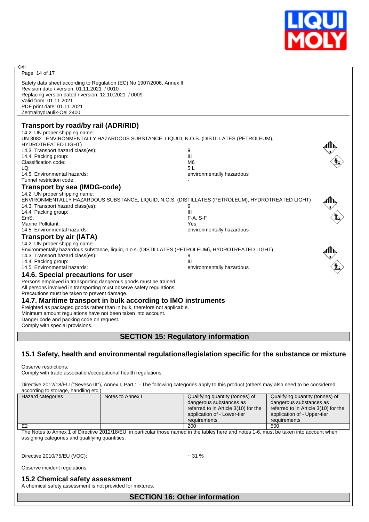

Page 14 of 17

**®** 

Safety data sheet according to Regulation (EC) No 1907/2006, Annex II Revision date / version: 01.11.2021 / 0010 Replacing version dated / version: 12.10.2021 / 0009 Valid from: 01.11.2021 PDF print date: 01.11.2021 Zentralhydraulik-Oel 2400

## **Transport by road/by rail (ADR/RID)**

| 14.2. UN proper shipping name:<br>UN 3082 ENVIRONMENTALLY HAZARDOUS SUBSTANCE, LIQUID, N.O.S. (DISTILLATES (PETROLEUM),<br><b>HYDROTREATED LIGHT)</b><br>14.3. Transport hazard class(es):<br>14.4. Packing group:<br>Classification code:<br>LQ:<br>14.5. Environmental hazards:<br>Tunnel restriction code:                                                                                                                                                                            | 9<br>Ш<br>M <sub>6</sub><br>5L<br>environmentally hazardous                                                                                                     |  |
|------------------------------------------------------------------------------------------------------------------------------------------------------------------------------------------------------------------------------------------------------------------------------------------------------------------------------------------------------------------------------------------------------------------------------------------------------------------------------------------|-----------------------------------------------------------------------------------------------------------------------------------------------------------------|--|
| <b>Transport by sea (IMDG-code)</b><br>14.2. UN proper shipping name:<br>14.3. Transport hazard class(es):<br>14.4. Packing group:<br>EmS:<br>Marine Pollutant:<br>14.5. Environmental hazards:<br><b>Transport by air (IATA)</b>                                                                                                                                                                                                                                                        | ENVIRONMENTALLY HAZARDOUS SUBSTANCE, LIQUID, N.O.S. (DISTILLATES (PETROLEUM), HYDROTREATED LIGHT)<br>9<br>III<br>$F-A. S-F$<br>Yes<br>environmentally hazardous |  |
| 14.2. UN proper shipping name:<br>Environmentally hazardous substance, liquid, n.o.s. (DISTILLATES (PETROLEUM), HYDROTREATED LIGHT)<br>14.3. Transport hazard class(es):<br>14.4. Packing group:<br>14.5. Environmental hazards:<br>14.6. Special precautions for user                                                                                                                                                                                                                   | 9<br>Ш<br>environmentally hazardous                                                                                                                             |  |
| Persons employed in transporting dangerous goods must be trained.<br>All persons involved in transporting must observe safety regulations.<br>Precautions must be taken to prevent damage.<br>14.7. Maritime transport in bulk according to IMO instruments<br>Freighted as packaged goods rather than in bulk, therefore not applicable.<br>Minimum amount regulations have not been taken into account.<br>Danger code and packing code on request.<br>Comply with special provisions. |                                                                                                                                                                 |  |
|                                                                                                                                                                                                                                                                                                                                                                                                                                                                                          | <b>SECTION 15: Regulatory information</b>                                                                                                                       |  |

## **15.1 Safety, health and environmental regulations/legislation specific for the substance or mixture**

Observe restrictions:

Comply with trade association/occupational health regulations.

Directive 2012/18/EU ("Seveso III"), Annex I, Part 1 - The following categories apply to this product (others may also need to be considered according to storage, handling etc.):

| Hazard categories | Notes to Annex I | Qualifying quantity (tonnes) of      | Qualifying quantity (tonnes) of      |
|-------------------|------------------|--------------------------------------|--------------------------------------|
|                   |                  | dangerous substances as              | dangerous substances as              |
|                   |                  | referred to in Article 3(10) for the | referred to in Article 3(10) for the |
|                   |                  | application of - Lower-tier          | application of - Upper-tier          |
|                   |                  | requirements                         | requirements                         |
| E2                |                  | 200                                  | 500                                  |

The Notes to Annex 1 of Directive 2012/18/EU, in particular those named in the tables here and notes 1-6, must be taken into account when assigning categories and qualifying quantities.

Directive 2010/75/EU (VOC): ~ 31 %

Observe incident regulations.

#### **15.2 Chemical safety assessment**

A chemical safety assessment is not provided for mixtures.

**SECTION 16: Other information**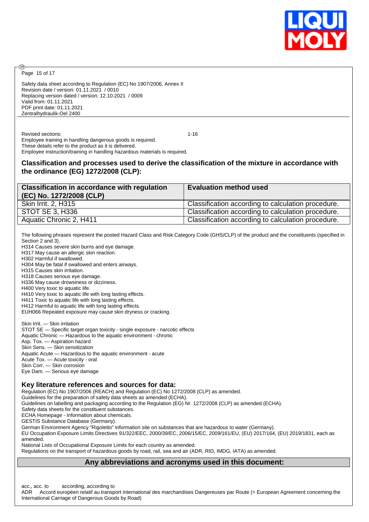

Page 15 of 17

അ

Safety data sheet according to Regulation (EC) No 1907/2006, Annex II Revision date / version: 01.11.2021 / 0010 Replacing version dated / version: 12.10.2021 / 0009 Valid from: 01.11.2021 PDF print date: 01.11.2021 Zentralhydraulik-Oel 2400

Revised sections: 1-16 Employee training in handling dangerous goods is required. These details refer to the product as it is delivered. Employee instruction/training in handling hazardous materials is required.

## **Classification and processes used to derive the classification of the mixture in accordance with the ordinance (EG) 1272/2008 (CLP):**

| <b>Classification in accordance with regulation</b><br>(EC) No. 1272/2008 (CLP) | <b>Evaluation method used</b>                      |
|---------------------------------------------------------------------------------|----------------------------------------------------|
| Skin Irrit. 2, H315                                                             | Classification according to calculation procedure. |
| STOT SE 3, H336                                                                 | Classification according to calculation procedure. |
| Aquatic Chronic 2, H411                                                         | Classification according to calculation procedure. |

The following phrases represent the posted Hazard Class and Risk Category Code (GHS/CLP) of the product and the constituents (specified in Section 2 and 3).

H314 Causes severe skin burns and eye damage.

H317 May cause an allergic skin reaction.

H302 Harmful if swallowed.

H304 May be fatal if swallowed and enters airways.

H315 Causes skin irritation.

H318 Causes serious eye damage.

H336 May cause drowsiness or dizziness.

H400 Very toxic to aquatic life.

H410 Very toxic to aquatic life with long lasting effects.

H411 Toxic to aquatic life with long lasting effects.

H412 Harmful to aquatic life with long lasting effects.

EUH066 Repeated exposure may cause skin dryness or cracking.

Skin Irrit. — Skin irritation STOT SE — Specific target organ toxicity - single exposure - narcotic effects Aquatic Chronic — Hazardous to the aquatic environment - chronic Asp. Tox. — Aspiration hazard Skin Sens. — Skin sensitization Aquatic Acute — Hazardous to the aquatic environment - acute Acute Tox. — Acute toxicity - oral Skin Corr. — Skin corrosion Eye Dam. — Serious eye damage

#### **Key literature references and sources for data:**

Regulation (EC) No 1907/2006 (REACH) and Regulation (EC) No 1272/2008 (CLP) as amended.

Guidelines for the preparation of safety data sheets as amended (ECHA).

Guidelines on labelling and packaging according to the Regulation (EG) Nr. 1272/2008 (CLP) as amended (ECHA).

Safety data sheets for the constituent substances.

ECHA Homepage - Information about chemicals.

GESTIS Substance Database (Germany).

German Environment Agency "Rigoletto" information site on substances that are hazardous to water (Germany).

EU Occupation Exposure Limits Directives 91/322/EEC, 2000/39/EC, 2006/15/EC, 2009/161/EU, (EU) 2017/164, (EU) 2019/1831, each as amended.

National Lists of Occupational Exposure Limits for each country as amended.

Regulations on the transport of hazardous goods by road, rail, sea and air (ADR, RID, IMDG, IATA) as amended.

## **Any abbreviations and acronyms used in this document:**

acc., acc. to according, according to

ADR Accord européen relatif au transport international des marchandises Dangereuses par Route (= European Agreement concerning the International Carriage of Dangerous Goods by Road)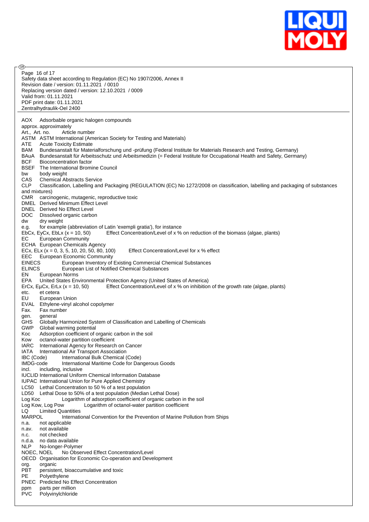

**®** Page 16 of 17Safety data sheet according to Regulation (EC) No 1907/2006, Annex II Revision date / version: 01.11.2021 / 0010 Replacing version dated / version: 12.10.2021 / 0009 Valid from: 01.11.2021 PDF print date: 01.11.2021 Zentralhydraulik-Oel 2400 AOX Adsorbable organic halogen compounds approx. approximately Art., Art. no. Article number ASTM ASTM International (American Society for Testing and Materials) ATE Acute Toxicity Estimate BAM Bundesanstalt für Materialforschung und -prüfung (Federal Institute for Materials Research and Testing, Germany) BAuA Bundesanstalt für Arbeitsschutz und Arbeitsmedizin (= Federal Institute for Occupational Health and Safety, Germany) BCF Bioconcentration factor BSEF The International Bromine Council bw body weight<br>CAS Chemical Ab Chemical Abstracts Service CLP Classification, Labelling and Packaging (REGULATION (EC) No 1272/2008 on classification, labelling and packaging of substances and mixtures) CMR carcinogenic, mutagenic, reproductive toxic DMEL Derived Minimum Effect Level DNEL Derived No Effect Level DOC Dissolved organic carbon dw dry weight e.g. for example (abbreviation of Latin 'exempli gratia'), for instance EbCx, EyCx, EbLx  $(x = 10, 50)$  Effect Concentration/Level of x % on reduction of the biomass (algae, plants) EC European Community ECHA European Chemicals Agency ECx, ELx  $(x = 0, 3, 5, 10, 20, 50, 80, 100)$  Effect Concentration/Level for x % effect EEC European Economic Community<br>EINECS European Inventory of EINECS European Inventory of Existing Commercial Chemical Substances<br>FLINCS European List of Notified Chemical Substances European List of Notified Chemical Substances EN European Norms<br>EPA United States Env United States Environmental Protection Agency (United States of America) ErCx, EµCx, ErLx ( $x = 10, 50$ ) Effect Concentration/Level of x % on inhibition of the growth rate (algae, plants) etc. et cetera EU European Union EVAL Ethylene-vinyl alcohol copolymer Fax. Fax number gen. general GHS Globally Harmonized System of Classification and Labelling of Chemicals GWP Global warming potential Koc Adsorption coefficient of organic carbon in the soil Kow octanol-water partition coefficient IARC International Agency for Research on Cancer IATA International Air Transport Association IBC (Code) International Bulk Chemical (Code) International Maritime Code for Dangerous Goods incl. including, inclusive IUCLID International Uniform Chemical Information Database IUPAC International Union for Pure Applied Chemistry LC50 Lethal Concentration to 50 % of a test population LD50 Lethal Dose to 50% of a test population (Median Lethal Dose) Log Koc Logarithm of adsorption coefficient of organic carbon in the soil<br>Log Kow, Log Pow Logarithm of octanol-water partition coefficient Logarithm of octanol-water partition coefficient LQ Limited Quantities MARPOL International Convention for the Prevention of Marine Pollution from Ships n.a. not applicable n.av. not available n.c. not checked n.d.a. no data available NLP No-longer-Polymer NOEC, NOEL No Observed Effect Concentration/Level OECD Organisation for Economic Co-operation and Development org. organic PBT persistent, bioaccumulative and toxic PE Polyethylene PNEC Predicted No Effect Concentration ppm parts per million PVC Polyvinylchloride